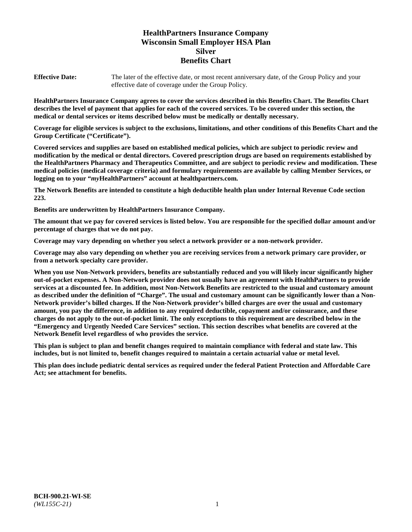# **HealthPartners Insurance Company Wisconsin Small Employer HSA Plan Silver Benefits Chart**

**Effective Date:** The later of the effective date, or most recent anniversary date, of the Group Policy and your effective date of coverage under the Group Policy.

**HealthPartners Insurance Company agrees to cover the services described in this Benefits Chart. The Benefits Chart describes the level of payment that applies for each of the covered services. To be covered under this section, the medical or dental services or items described below must be medically or dentally necessary.**

**Coverage for eligible services is subject to the exclusions, limitations, and other conditions of this Benefits Chart and the Group Certificate ("Certificate").**

**Covered services and supplies are based on established medical policies, which are subject to periodic review and modification by the medical or dental directors. Covered prescription drugs are based on requirements established by the HealthPartners Pharmacy and Therapeutics Committee, and are subject to periodic review and modification. These medical policies (medical coverage criteria) and formulary requirements are available by calling Member Services, or logging on to your "***my***HealthPartners" account at [healthpartners.com.](https://www.healthpartners.com/hp/index.html)**

**The Network Benefits are intended to constitute a high deductible health plan under Internal Revenue Code section 223.**

**Benefits are underwritten by HealthPartners Insurance Company.**

**The amount that we pay for covered services is listed below. You are responsible for the specified dollar amount and/or percentage of charges that we do not pay.**

**Coverage may vary depending on whether you select a network provider or a non-network provider.**

**Coverage may also vary depending on whether you are receiving services from a network primary care provider, or from a network specialty care provider.**

**When you use Non-Network providers, benefits are substantially reduced and you will likely incur significantly higher out-of-pocket expenses. A Non-Network provider does not usually have an agreement with HealthPartners to provide services at a discounted fee. In addition, most Non-Network Benefits are restricted to the usual and customary amount as described under the definition of "Charge". The usual and customary amount can be significantly lower than a Non-Network provider's billed charges. If the Non-Network provider's billed charges are over the usual and customary amount, you pay the difference, in addition to any required deductible, copayment and/or coinsurance, and these charges do not apply to the out-of-pocket limit. The only exceptions to this requirement are described below in the "Emergency and Urgently Needed Care Services" section. This section describes what benefits are covered at the Network Benefit level regardless of who provides the service.**

**This plan is subject to plan and benefit changes required to maintain compliance with federal and state law. This includes, but is not limited to, benefit changes required to maintain a certain actuarial value or metal level.**

**This plan does include pediatric dental services as required under the federal Patient Protection and Affordable Care Act; see attachment for benefits.**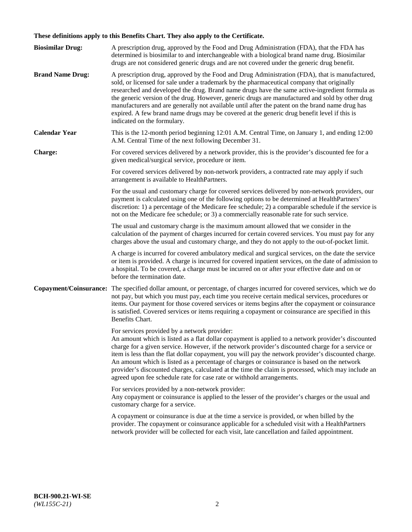# **These definitions apply to this Benefits Chart. They also apply to the Certificate.**

| <b>Biosimilar Drug:</b> | A prescription drug, approved by the Food and Drug Administration (FDA), that the FDA has<br>determined is biosimilar to and interchangeable with a biological brand name drug. Biosimilar<br>drugs are not considered generic drugs and are not covered under the generic drug benefit.                                                                                                                                                                                                                                                                                                                                                     |
|-------------------------|----------------------------------------------------------------------------------------------------------------------------------------------------------------------------------------------------------------------------------------------------------------------------------------------------------------------------------------------------------------------------------------------------------------------------------------------------------------------------------------------------------------------------------------------------------------------------------------------------------------------------------------------|
| <b>Brand Name Drug:</b> | A prescription drug, approved by the Food and Drug Administration (FDA), that is manufactured,<br>sold, or licensed for sale under a trademark by the pharmaceutical company that originally<br>researched and developed the drug. Brand name drugs have the same active-ingredient formula as<br>the generic version of the drug. However, generic drugs are manufactured and sold by other drug<br>manufacturers and are generally not available until after the patent on the brand name drug has<br>expired. A few brand name drugs may be covered at the generic drug benefit level if this is<br>indicated on the formulary.           |
| <b>Calendar Year</b>    | This is the 12-month period beginning 12:01 A.M. Central Time, on January 1, and ending 12:00<br>A.M. Central Time of the next following December 31.                                                                                                                                                                                                                                                                                                                                                                                                                                                                                        |
| <b>Charge:</b>          | For covered services delivered by a network provider, this is the provider's discounted fee for a<br>given medical/surgical service, procedure or item.                                                                                                                                                                                                                                                                                                                                                                                                                                                                                      |
|                         | For covered services delivered by non-network providers, a contracted rate may apply if such<br>arrangement is available to HealthPartners.                                                                                                                                                                                                                                                                                                                                                                                                                                                                                                  |
|                         | For the usual and customary charge for covered services delivered by non-network providers, our<br>payment is calculated using one of the following options to be determined at HealthPartners'<br>discretion: 1) a percentage of the Medicare fee schedule; 2) a comparable schedule if the service is<br>not on the Medicare fee schedule; or 3) a commercially reasonable rate for such service.                                                                                                                                                                                                                                          |
|                         | The usual and customary charge is the maximum amount allowed that we consider in the<br>calculation of the payment of charges incurred for certain covered services. You must pay for any<br>charges above the usual and customary charge, and they do not apply to the out-of-pocket limit.                                                                                                                                                                                                                                                                                                                                                 |
|                         | A charge is incurred for covered ambulatory medical and surgical services, on the date the service<br>or item is provided. A charge is incurred for covered inpatient services, on the date of admission to<br>a hospital. To be covered, a charge must be incurred on or after your effective date and on or<br>before the termination date.                                                                                                                                                                                                                                                                                                |
| Copayment/Coinsurance:  | The specified dollar amount, or percentage, of charges incurred for covered services, which we do<br>not pay, but which you must pay, each time you receive certain medical services, procedures or<br>items. Our payment for those covered services or items begins after the copayment or coinsurance<br>is satisfied. Covered services or items requiring a copayment or coinsurance are specified in this<br>Benefits Chart.                                                                                                                                                                                                             |
|                         | For services provided by a network provider:<br>An amount which is listed as a flat dollar copayment is applied to a network provider's discounted<br>charge for a given service. However, if the network provider's discounted charge for a service or<br>item is less than the flat dollar copayment, you will pay the network provider's discounted charge.<br>An amount which is listed as a percentage of charges or coinsurance is based on the network<br>provider's discounted charges, calculated at the time the claim is processed, which may include an<br>agreed upon fee schedule rate for case rate or withhold arrangements. |
|                         | For services provided by a non-network provider:<br>Any copayment or coinsurance is applied to the lesser of the provider's charges or the usual and<br>customary charge for a service.                                                                                                                                                                                                                                                                                                                                                                                                                                                      |
|                         | A copayment or coinsurance is due at the time a service is provided, or when billed by the<br>provider. The copayment or coinsurance applicable for a scheduled visit with a HealthPartners<br>network provider will be collected for each visit, late cancellation and failed appointment.                                                                                                                                                                                                                                                                                                                                                  |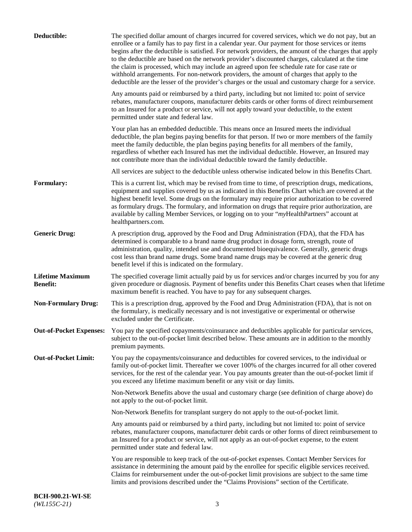| Deductible:                                | The specified dollar amount of charges incurred for covered services, which we do not pay, but an<br>enrollee or a family has to pay first in a calendar year. Our payment for those services or items<br>begins after the deductible is satisfied. For network providers, the amount of the charges that apply<br>to the deductible are based on the network provider's discounted charges, calculated at the time<br>the claim is processed, which may include an agreed upon fee schedule rate for case rate or<br>withhold arrangements. For non-network providers, the amount of charges that apply to the<br>deductible are the lesser of the provider's charges or the usual and customary charge for a service. |
|--------------------------------------------|-------------------------------------------------------------------------------------------------------------------------------------------------------------------------------------------------------------------------------------------------------------------------------------------------------------------------------------------------------------------------------------------------------------------------------------------------------------------------------------------------------------------------------------------------------------------------------------------------------------------------------------------------------------------------------------------------------------------------|
|                                            | Any amounts paid or reimbursed by a third party, including but not limited to: point of service<br>rebates, manufacturer coupons, manufacturer debits cards or other forms of direct reimbursement<br>to an Insured for a product or service, will not apply toward your deductible, to the extent<br>permitted under state and federal law.                                                                                                                                                                                                                                                                                                                                                                            |
|                                            | Your plan has an embedded deductible. This means once an Insured meets the individual<br>deductible, the plan begins paying benefits for that person. If two or more members of the family<br>meet the family deductible, the plan begins paying benefits for all members of the family,<br>regardless of whether each Insured has met the individual deductible. However, an Insured may<br>not contribute more than the individual deductible toward the family deductible.                                                                                                                                                                                                                                           |
|                                            | All services are subject to the deductible unless otherwise indicated below in this Benefits Chart.                                                                                                                                                                                                                                                                                                                                                                                                                                                                                                                                                                                                                     |
| Formulary:                                 | This is a current list, which may be revised from time to time, of prescription drugs, medications,<br>equipment and supplies covered by us as indicated in this Benefits Chart which are covered at the<br>highest benefit level. Some drugs on the formulary may require prior authorization to be covered<br>as formulary drugs. The formulary, and information on drugs that require prior authorization, are<br>available by calling Member Services, or logging on to your "myHealthPartners" account at<br>healthpartners.com.                                                                                                                                                                                   |
| <b>Generic Drug:</b>                       | A prescription drug, approved by the Food and Drug Administration (FDA), that the FDA has<br>determined is comparable to a brand name drug product in dosage form, strength, route of<br>administration, quality, intended use and documented bioequivalence. Generally, generic drugs<br>cost less than brand name drugs. Some brand name drugs may be covered at the generic drug<br>benefit level if this is indicated on the formulary.                                                                                                                                                                                                                                                                             |
| <b>Lifetime Maximum</b><br><b>Benefit:</b> | The specified coverage limit actually paid by us for services and/or charges incurred by you for any<br>given procedure or diagnosis. Payment of benefits under this Benefits Chart ceases when that lifetime<br>maximum benefit is reached. You have to pay for any subsequent charges.                                                                                                                                                                                                                                                                                                                                                                                                                                |
| <b>Non-Formulary Drug:</b>                 | This is a prescription drug, approved by the Food and Drug Administration (FDA), that is not on<br>the formulary, is medically necessary and is not investigative or experimental or otherwise<br>excluded under the Certificate.                                                                                                                                                                                                                                                                                                                                                                                                                                                                                       |
|                                            | Out-of-Pocket Expenses: You pay the specified copayments/coinsurance and deductibles applicable for particular services,<br>subject to the out-of-pocket limit described below. These amounts are in addition to the monthly<br>premium payments.                                                                                                                                                                                                                                                                                                                                                                                                                                                                       |
| <b>Out-of-Pocket Limit:</b>                | You pay the copayments/coinsurance and deductibles for covered services, to the individual or<br>family out-of-pocket limit. Thereafter we cover 100% of the charges incurred for all other covered<br>services, for the rest of the calendar year. You pay amounts greater than the out-of-pocket limit if<br>you exceed any lifetime maximum benefit or any visit or day limits.                                                                                                                                                                                                                                                                                                                                      |
|                                            | Non-Network Benefits above the usual and customary charge (see definition of charge above) do<br>not apply to the out-of-pocket limit.                                                                                                                                                                                                                                                                                                                                                                                                                                                                                                                                                                                  |
|                                            | Non-Network Benefits for transplant surgery do not apply to the out-of-pocket limit.                                                                                                                                                                                                                                                                                                                                                                                                                                                                                                                                                                                                                                    |
|                                            | Any amounts paid or reimbursed by a third party, including but not limited to: point of service<br>rebates, manufacturer coupons, manufacturer debit cards or other forms of direct reimbursement to<br>an Insured for a product or service, will not apply as an out-of-pocket expense, to the extent<br>permitted under state and federal law.                                                                                                                                                                                                                                                                                                                                                                        |
|                                            | You are responsible to keep track of the out-of-pocket expenses. Contact Member Services for<br>assistance in determining the amount paid by the enrollee for specific eligible services received.<br>Claims for reimbursement under the out-of-pocket limit provisions are subject to the same time<br>limits and provisions described under the "Claims Provisions" section of the Certificate.                                                                                                                                                                                                                                                                                                                       |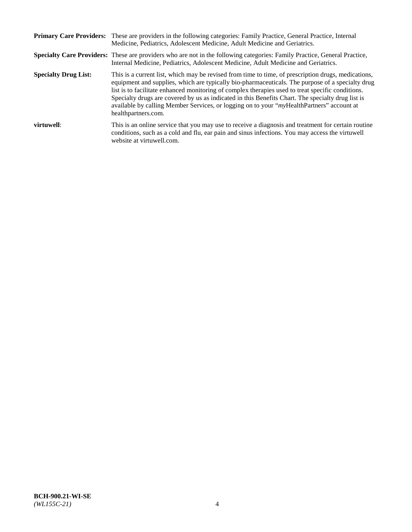|                             | Primary Care Providers: These are providers in the following categories: Family Practice, General Practice, Internal<br>Medicine, Pediatrics, Adolescent Medicine, Adult Medicine and Geriatrics.                                                                                                                                                                                                                                                                                                                                     |
|-----------------------------|---------------------------------------------------------------------------------------------------------------------------------------------------------------------------------------------------------------------------------------------------------------------------------------------------------------------------------------------------------------------------------------------------------------------------------------------------------------------------------------------------------------------------------------|
|                             | <b>Specialty Care Providers:</b> These are providers who are not in the following categories: Family Practice, General Practice,<br>Internal Medicine, Pediatrics, Adolescent Medicine, Adult Medicine and Geriatrics.                                                                                                                                                                                                                                                                                                                |
| <b>Specialty Drug List:</b> | This is a current list, which may be revised from time to time, of prescription drugs, medications,<br>equipment and supplies, which are typically bio-pharmaceuticals. The purpose of a specialty drug<br>list is to facilitate enhanced monitoring of complex therapies used to treat specific conditions.<br>Specialty drugs are covered by us as indicated in this Benefits Chart. The specialty drug list is<br>available by calling Member Services, or logging on to your "myHealthPartners" account at<br>healthpartners.com. |
| virtuwell:                  | This is an online service that you may use to receive a diagnosis and treatment for certain routine<br>conditions, such as a cold and flu, ear pain and sinus infections. You may access the virtuwell<br>website at virtuwell.com.                                                                                                                                                                                                                                                                                                   |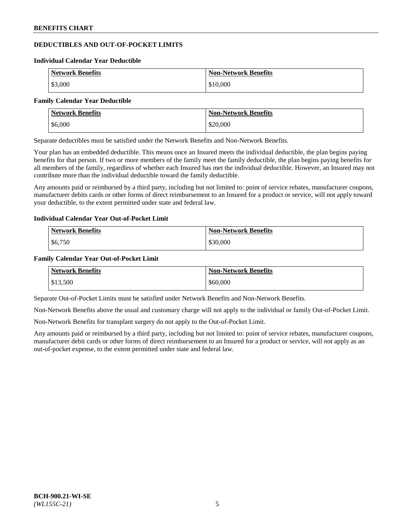# **DEDUCTIBLES AND OUT-OF-POCKET LIMITS**

#### **Individual Calendar Year Deductible**

| <b>Network Benefits</b> | <b>Non-Network Benefits</b> |
|-------------------------|-----------------------------|
| \$3,000                 | \$10,000                    |

#### **Family Calendar Year Deductible**

| <b>Network Benefits</b> | <b>Non-Network Benefits</b> |
|-------------------------|-----------------------------|
| \$6,000                 | \$20,000                    |

Separate deductibles must be satisfied under the Network Benefits and Non-Network Benefits.

Your plan has an embedded deductible. This means once an Insured meets the individual deductible, the plan begins paying benefits for that person. If two or more members of the family meet the family deductible, the plan begins paying benefits for all members of the family, regardless of whether each Insured has met the individual deductible. However, an Insured may not contribute more than the individual deductible toward the family deductible.

Any amounts paid or reimbursed by a third party, including but not limited to: point of service rebates, manufacturer coupons, manufacturer debits cards or other forms of direct reimbursement to an Insured for a product or service, will not apply toward your deductible, to the extent permitted under state and federal law.

#### **Individual Calendar Year Out-of-Pocket Limit**

| <b>Network Benefits</b> | <b>Non-Network Benefits</b> |
|-------------------------|-----------------------------|
| \$6,750                 | \$30,000                    |

#### **Family Calendar Year Out-of-Pocket Limit**

| <b>Network Benefits</b> | <b>Non-Network Benefits</b> |
|-------------------------|-----------------------------|
| \$13,500                | \$60,000                    |

Separate Out-of-Pocket Limits must be satisfied under Network Benefits and Non-Network Benefits.

Non-Network Benefits above the usual and customary charge will not apply to the individual or family Out-of-Pocket Limit.

Non-Network Benefits for transplant surgery do not apply to the Out-of-Pocket Limit.

Any amounts paid or reimbursed by a third party, including but not limited to: point of service rebates, manufacturer coupons, manufacturer debit cards or other forms of direct reimbursement to an Insured for a product or service, will not apply as an out-of-pocket expense, to the extent permitted under state and federal law.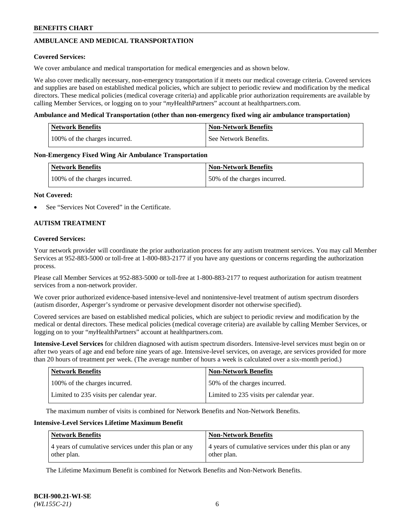## **AMBULANCE AND MEDICAL TRANSPORTATION**

#### **Covered Services:**

We cover ambulance and medical transportation for medical emergencies and as shown below.

We also cover medically necessary, non-emergency transportation if it meets our medical coverage criteria. Covered services and supplies are based on established medical policies, which are subject to periodic review and modification by the medical directors. These medical policies (medical coverage criteria) and applicable prior authorization requirements are available by calling Member Services, or logging on to your "*my*HealthPartners" account a[t healthpartners.com.](https://www.healthpartners.com/hp/index.html)

#### **Ambulance and Medical Transportation (other than non-emergency fixed wing air ambulance transportation)**

| <b>Network Benefits</b>       | <b>Non-Network Benefits</b> |
|-------------------------------|-----------------------------|
| 100% of the charges incurred. | See Network Benefits.       |

#### **Non-Emergency Fixed Wing Air Ambulance Transportation**

| <b>Network Benefits</b>       | <b>Non-Network Benefits</b>  |
|-------------------------------|------------------------------|
| 100% of the charges incurred. | 50% of the charges incurred. |

#### **Not Covered:**

See "Services Not Covered" in the Certificate.

## **AUTISM TREATMENT**

#### **Covered Services:**

Your network provider will coordinate the prior authorization process for any autism treatment services. You may call Member Services at 952-883-5000 or toll-free at 1-800-883-2177 if you have any questions or concerns regarding the authorization process.

Please call Member Services at 952-883-5000 or toll-free at 1-800-883-2177 to request authorization for autism treatment services from a non-network provider.

We cover prior authorized evidence-based intensive-level and nonintensive-level treatment of autism spectrum disorders (autism disorder, Asperger's syndrome or pervasive development disorder not otherwise specified).

Covered services are based on established medical policies, which are subject to periodic review and modification by the medical or dental directors. These medical policies (medical coverage criteria) are available by calling Member Services, or logging on to your "*my*HealthPartners" account at [healthpartners.com.](https://www.healthpartners.com/hp/index.html)

**Intensive-Level Services** for children diagnosed with autism spectrum disorders. Intensive-level services must begin on or after two years of age and end before nine years of age. Intensive-level services, on average, are services provided for more than 20 hours of treatment per week. (The average number of hours a week is calculated over a six-month period.)

| <b>Network Benefits</b>                  | <b>Non-Network Benefits</b>              |
|------------------------------------------|------------------------------------------|
| 100% of the charges incurred.            | 50% of the charges incurred.             |
| Limited to 235 visits per calendar year. | Limited to 235 visits per calendar year. |

The maximum number of visits is combined for Network Benefits and Non-Network Benefits.

#### **Intensive-Level Services Lifetime Maximum Benefit**

| <b>Network Benefits</b>                                              | <b>Non-Network Benefits</b>                                          |
|----------------------------------------------------------------------|----------------------------------------------------------------------|
| 4 years of cumulative services under this plan or any<br>other plan. | 4 years of cumulative services under this plan or any<br>other plan. |

The Lifetime Maximum Benefit is combined for Network Benefits and Non-Network Benefits.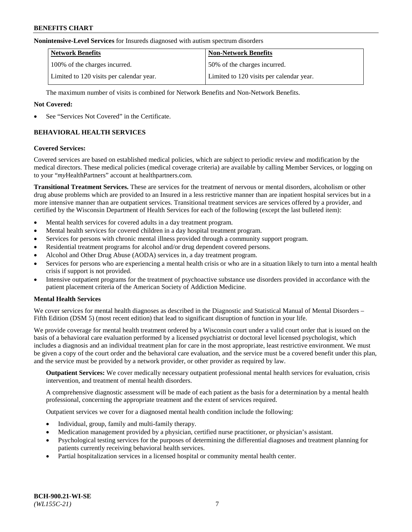#### **Nonintensive-Level Services** for Insureds diagnosed with autism spectrum disorders

| <b>Network Benefits</b>                  | <b>Non-Network Benefits</b>              |
|------------------------------------------|------------------------------------------|
| 100% of the charges incurred.            | 50% of the charges incurred.             |
| Limited to 120 visits per calendar year. | Limited to 120 visits per calendar year. |

The maximum number of visits is combined for Network Benefits and Non-Network Benefits.

#### **Not Covered:**

See "Services Not Covered" in the Certificate.

## **BEHAVIORAL HEALTH SERVICES**

#### **Covered Services:**

Covered services are based on established medical policies, which are subject to periodic review and modification by the medical directors. These medical policies (medical coverage criteria) are available by calling Member Services, or logging on to your "*my*HealthPartners" account at [healthpartners.com.](https://www.healthpartners.com/hp/index.html)

**Transitional Treatment Services.** These are services for the treatment of nervous or mental disorders, alcoholism or other drug abuse problems which are provided to an Insured in a less restrictive manner than are inpatient hospital services but in a more intensive manner than are outpatient services. Transitional treatment services are services offered by a provider, and certified by the Wisconsin Department of Health Services for each of the following (except the last bulleted item):

- Mental health services for covered adults in a day treatment program.
- Mental health services for covered children in a day hospital treatment program.
- Services for persons with chronic mental illness provided through a community support program.
- Residential treatment programs for alcohol and/or drug dependent covered persons.
- Alcohol and Other Drug Abuse (AODA) services in, a day treatment program.
- Services for persons who are experiencing a mental health crisis or who are in a situation likely to turn into a mental health crisis if support is not provided.
- Intensive outpatient programs for the treatment of psychoactive substance use disorders provided in accordance with the patient placement criteria of the American Society of Addiction Medicine.

## **Mental Health Services**

We cover services for mental health diagnoses as described in the Diagnostic and Statistical Manual of Mental Disorders – Fifth Edition (DSM 5) (most recent edition) that lead to significant disruption of function in your life.

We provide coverage for mental health treatment ordered by a Wisconsin court under a valid court order that is issued on the basis of a behavioral care evaluation performed by a licensed psychiatrist or doctoral level licensed psychologist, which includes a diagnosis and an individual treatment plan for care in the most appropriate, least restrictive environment. We must be given a copy of the court order and the behavioral care evaluation, and the service must be a covered benefit under this plan, and the service must be provided by a network provider, or other provider as required by law.

**Outpatient Services:** We cover medically necessary outpatient professional mental health services for evaluation, crisis intervention, and treatment of mental health disorders.

A comprehensive diagnostic assessment will be made of each patient as the basis for a determination by a mental health professional, concerning the appropriate treatment and the extent of services required.

Outpatient services we cover for a diagnosed mental health condition include the following:

- Individual, group, family and multi-family therapy.
- Medication management provided by a physician, certified nurse practitioner, or physician's assistant.
- Psychological testing services for the purposes of determining the differential diagnoses and treatment planning for patients currently receiving behavioral health services.
- Partial hospitalization services in a licensed hospital or community mental health center.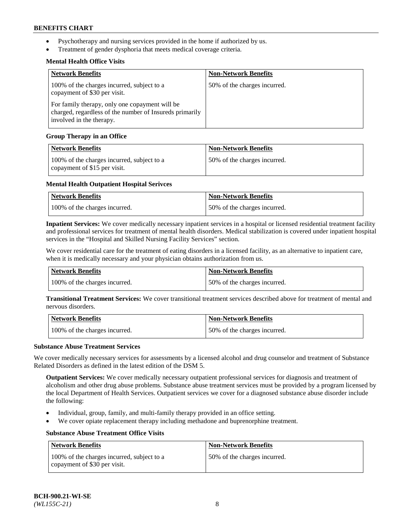- Psychotherapy and nursing services provided in the home if authorized by us.
- Treatment of gender dysphoria that meets medical coverage criteria.

## **Mental Health Office Visits**

| <b>Network Benefits</b>                                                                                                               | <b>Non-Network Benefits</b>  |
|---------------------------------------------------------------------------------------------------------------------------------------|------------------------------|
| 100% of the charges incurred, subject to a<br>copayment of \$30 per visit.                                                            | 50% of the charges incurred. |
| For family therapy, only one copayment will be<br>charged, regardless of the number of Insureds primarily<br>involved in the therapy. |                              |

## **Group Therapy in an Office**

| <b>Network Benefits</b>                                                    | <b>Non-Network Benefits</b>  |
|----------------------------------------------------------------------------|------------------------------|
| 100% of the charges incurred, subject to a<br>copayment of \$15 per visit. | 50% of the charges incurred. |

## **Mental Health Outpatient Hospital Serivces**

| Network Benefits              | <b>Non-Network Benefits</b>  |
|-------------------------------|------------------------------|
| 100% of the charges incurred. | 50% of the charges incurred. |

**Inpatient Services:** We cover medically necessary inpatient services in a hospital or licensed residential treatment facility and professional services for treatment of mental health disorders. Medical stabilization is covered under inpatient hospital services in the "Hospital and Skilled Nursing Facility Services" section.

We cover residential care for the treatment of eating disorders in a licensed facility, as an alternative to inpatient care, when it is medically necessary and your physician obtains authorization from us.

| Network Benefits              | <b>Non-Network Benefits</b>  |
|-------------------------------|------------------------------|
| 100% of the charges incurred. | 50% of the charges incurred. |

**Transitional Treatment Services:** We cover transitional treatment services described above for treatment of mental and nervous disorders.

| Network Benefits              | Non-Network Benefits         |
|-------------------------------|------------------------------|
| 100% of the charges incurred. | 50% of the charges incurred. |

#### **Substance Abuse Treatment Services**

We cover medically necessary services for assessments by a licensed alcohol and drug counselor and treatment of Substance Related Disorders as defined in the latest edition of the DSM 5.

**Outpatient Services:** We cover medically necessary outpatient professional services for diagnosis and treatment of alcoholism and other drug abuse problems. Substance abuse treatment services must be provided by a program licensed by the local Department of Health Services. Outpatient services we cover for a diagnosed substance abuse disorder include the following:

- Individual, group, family, and multi-family therapy provided in an office setting.
- We cover opiate replacement therapy including methadone and buprenorphine treatment.

## **Substance Abuse Treatment Office Visits**

| Network Benefits                                                           | <b>Non-Network Benefits</b>  |
|----------------------------------------------------------------------------|------------------------------|
| 100% of the charges incurred, subject to a<br>copayment of \$30 per visit. | 50% of the charges incurred. |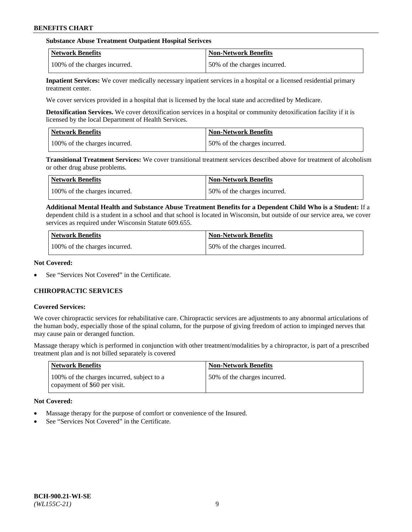#### **Substance Abuse Treatment Outpatient Hospital Serivces**

| Network Benefits              | <b>Non-Network Benefits</b>  |
|-------------------------------|------------------------------|
| 100% of the charges incurred. | 50% of the charges incurred. |

**Inpatient Services:** We cover medically necessary inpatient services in a hospital or a licensed residential primary treatment center.

We cover services provided in a hospital that is licensed by the local state and accredited by Medicare.

**Detoxification Services.** We cover detoxification services in a hospital or community detoxification facility if it is licensed by the local Department of Health Services.

| <b>Network Benefits</b>       | <b>Non-Network Benefits</b>  |
|-------------------------------|------------------------------|
| 100% of the charges incurred. | 50% of the charges incurred. |

**Transitional Treatment Services:** We cover transitional treatment services described above for treatment of alcoholism or other drug abuse problems.

| Network Benefits              | <b>Non-Network Benefits</b>  |
|-------------------------------|------------------------------|
| 100% of the charges incurred. | 50% of the charges incurred. |

**Additional Mental Health and Substance Abuse Treatment Benefits for a Dependent Child Who is a Student:** If a dependent child is a student in a school and that school is located in Wisconsin, but outside of our service area, we cover services as required under Wisconsin Statute 609.655.

| <b>Network Benefits</b>       | <b>Non-Network Benefits</b>  |
|-------------------------------|------------------------------|
| 100% of the charges incurred. | 50% of the charges incurred. |

#### **Not Covered:**

See "Services Not Covered" in the Certificate.

## **CHIROPRACTIC SERVICES**

#### **Covered Services:**

We cover chiropractic services for rehabilitative care. Chiropractic services are adjustments to any abnormal articulations of the human body, especially those of the spinal column, for the purpose of giving freedom of action to impinged nerves that may cause pain or deranged function.

Massage therapy which is performed in conjunction with other treatment/modalities by a chiropractor, is part of a prescribed treatment plan and is not billed separately is covered

| <b>Network Benefits</b>                                                    | <b>Non-Network Benefits</b>  |
|----------------------------------------------------------------------------|------------------------------|
| 100% of the charges incurred, subject to a<br>copayment of \$60 per visit. | 50% of the charges incurred. |

## **Not Covered:**

- Massage therapy for the purpose of comfort or convenience of the Insured.
- See "Services Not Covered" in the Certificate.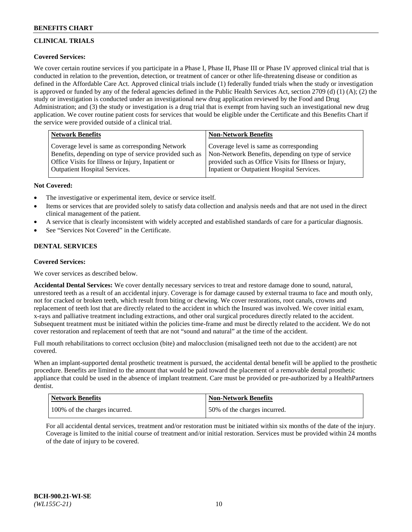# **CLINICAL TRIALS**

## **Covered Services:**

We cover certain routine services if you participate in a Phase I, Phase II, Phase III or Phase IV approved clinical trial that is conducted in relation to the prevention, detection, or treatment of cancer or other life-threatening disease or condition as defined in the Affordable Care Act. Approved clinical trials include (1) federally funded trials when the study or investigation is approved or funded by any of the federal agencies defined in the Public Health Services Act, section 2709 (d) (1) (A); (2) the study or investigation is conducted under an investigational new drug application reviewed by the Food and Drug Administration; and (3) the study or investigation is a drug trial that is exempt from having such an investigational new drug application. We cover routine patient costs for services that would be eligible under the Certificate and this Benefits Chart if the service were provided outside of a clinical trial.

| Network Benefits                                        | <b>Non-Network Benefits</b>                           |
|---------------------------------------------------------|-------------------------------------------------------|
| Coverage level is same as corresponding Network         | Coverage level is same as corresponding               |
| Benefits, depending on type of service provided such as | Non-Network Benefits, depending on type of service    |
| Office Visits for Illness or Injury, Inpatient or       | provided such as Office Visits for Illness or Injury, |
| Outpatient Hospital Services.                           | Inpatient or Outpatient Hospital Services.            |

## **Not Covered:**

- The investigative or experimental item, device or service itself.
- Items or services that are provided solely to satisfy data collection and analysis needs and that are not used in the direct clinical management of the patient.
- A service that is clearly inconsistent with widely accepted and established standards of care for a particular diagnosis.
- See "Services Not Covered" in the Certificate.

## **DENTAL SERVICES**

## **Covered Services:**

We cover services as described below.

**Accidental Dental Services:** We cover dentally necessary services to treat and restore damage done to sound, natural, unrestored teeth as a result of an accidental injury. Coverage is for damage caused by external trauma to face and mouth only, not for cracked or broken teeth, which result from biting or chewing. We cover restorations, root canals, crowns and replacement of teeth lost that are directly related to the accident in which the Insured was involved. We cover initial exam, x-rays and palliative treatment including extractions, and other oral surgical procedures directly related to the accident. Subsequent treatment must be initiated within the policies time-frame and must be directly related to the accident. We do not cover restoration and replacement of teeth that are not "sound and natural" at the time of the accident.

Full mouth rehabilitations to correct occlusion (bite) and malocclusion (misaligned teeth not due to the accident) are not covered.

When an implant-supported dental prosthetic treatment is pursued, the accidental dental benefit will be applied to the prosthetic procedure. Benefits are limited to the amount that would be paid toward the placement of a removable dental prosthetic appliance that could be used in the absence of implant treatment. Care must be provided or pre-authorized by a HealthPartners dentist.

| Network Benefits              | <b>Non-Network Benefits</b>  |
|-------------------------------|------------------------------|
| 100% of the charges incurred. | 50% of the charges incurred. |

For all accidental dental services, treatment and/or restoration must be initiated within six months of the date of the injury. Coverage is limited to the initial course of treatment and/or initial restoration. Services must be provided within 24 months of the date of injury to be covered.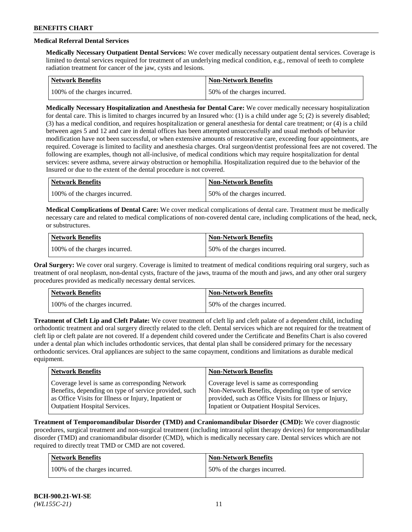# **Medical Referral Dental Services**

**Medically Necessary Outpatient Dental Services:** We cover medically necessary outpatient dental services. Coverage is limited to dental services required for treatment of an underlying medical condition, e.g., removal of teeth to complete radiation treatment for cancer of the jaw, cysts and lesions.

| <b>Network Benefits</b>       | Non-Network Benefits         |
|-------------------------------|------------------------------|
| 100% of the charges incurred. | 50% of the charges incurred. |

**Medically Necessary Hospitalization and Anesthesia for Dental Care:** We cover medically necessary hospitalization for dental care. This is limited to charges incurred by an Insured who: (1) is a child under age  $5$ ; (2) is severely disabled; (3) has a medical condition, and requires hospitalization or general anesthesia for dental care treatment; or (4) is a child between ages 5 and 12 and care in dental offices has been attempted unsuccessfully and usual methods of behavior modification have not been successful, or when extensive amounts of restorative care, exceeding four appointments, are required. Coverage is limited to facility and anesthesia charges. Oral surgeon/dentist professional fees are not covered. The following are examples, though not all-inclusive, of medical conditions which may require hospitalization for dental services: severe asthma, severe airway obstruction or hemophilia. Hospitalization required due to the behavior of the Insured or due to the extent of the dental procedure is not covered.

| Network Benefits              | <b>Non-Network Benefits</b>  |
|-------------------------------|------------------------------|
| 100% of the charges incurred. | 50% of the charges incurred. |

**Medical Complications of Dental Care:** We cover medical complications of dental care. Treatment must be medically necessary care and related to medical complications of non-covered dental care, including complications of the head, neck, or substructures.

| Network Benefits              | Non-Network Benefits         |
|-------------------------------|------------------------------|
| 100% of the charges incurred. | 50% of the charges incurred. |

**Oral Surgery:** We cover oral surgery. Coverage is limited to treatment of medical conditions requiring oral surgery, such as treatment of oral neoplasm, non-dental cysts, fracture of the jaws, trauma of the mouth and jaws, and any other oral surgery procedures provided as medically necessary dental services.

| Network Benefits              | <b>Non-Network Benefits</b>  |
|-------------------------------|------------------------------|
| 100% of the charges incurred. | 50% of the charges incurred. |

**Treatment of Cleft Lip and Cleft Palate:** We cover treatment of cleft lip and cleft palate of a dependent child, including orthodontic treatment and oral surgery directly related to the cleft. Dental services which are not required for the treatment of cleft lip or cleft palate are not covered. If a dependent child covered under the Certificate and Benefits Chart is also covered under a dental plan which includes orthodontic services, that dental plan shall be considered primary for the necessary orthodontic services. Oral appliances are subject to the same copayment, conditions and limitations as durable medical equipment.

| <b>Network Benefits</b>                               | <b>Non-Network Benefits</b>                            |
|-------------------------------------------------------|--------------------------------------------------------|
| Coverage level is same as corresponding Network       | Coverage level is same as corresponding                |
| Benefits, depending on type of service provided, such | Non-Network Benefits, depending on type of service     |
| as Office Visits for Illness or Injury, Inpatient or  | provided, such as Office Visits for Illness or Injury, |
| Outpatient Hospital Services.                         | Inpatient or Outpatient Hospital Services.             |

**Treatment of Temporomandibular Disorder (TMD) and Craniomandibular Disorder (CMD):** We cover diagnostic procedures, surgical treatment and non-surgical treatment (including intraoral splint therapy devices) for temporomandibular disorder (TMD) and craniomandibular disorder (CMD), which is medically necessary care. Dental services which are not required to directly treat TMD or CMD are not covered.

| Network Benefits              | <b>Non-Network Benefits</b>  |
|-------------------------------|------------------------------|
| 100% of the charges incurred. | 50% of the charges incurred. |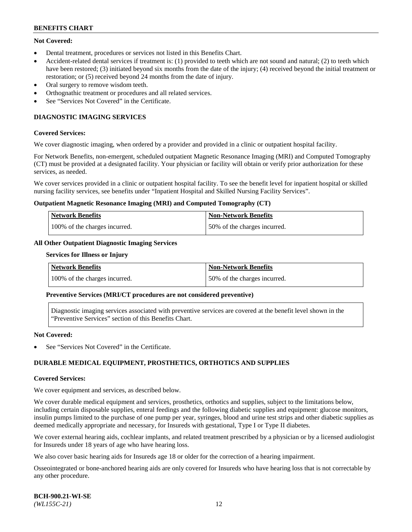## **Not Covered:**

- Dental treatment, procedures or services not listed in this Benefits Chart.
- Accident-related dental services if treatment is: (1) provided to teeth which are not sound and natural; (2) to teeth which have been restored; (3) initiated beyond six months from the date of the injury; (4) received beyond the initial treatment or restoration; or (5) received beyond 24 months from the date of injury.
- Oral surgery to remove wisdom teeth.
- Orthognathic treatment or procedures and all related services.
- See "Services Not Covered" in the Certificate.

## **DIAGNOSTIC IMAGING SERVICES**

#### **Covered Services:**

We cover diagnostic imaging, when ordered by a provider and provided in a clinic or outpatient hospital facility.

For Network Benefits, non-emergent, scheduled outpatient Magnetic Resonance Imaging (MRI) and Computed Tomography (CT) must be provided at a designated facility. Your physician or facility will obtain or verify prior authorization for these services, as needed.

We cover services provided in a clinic or outpatient hospital facility. To see the benefit level for inpatient hospital or skilled nursing facility services, see benefits under "Inpatient Hospital and Skilled Nursing Facility Services".

#### **Outpatient Magnetic Resonance Imaging (MRI) and Computed Tomography (CT)**

| <b>Network Benefits</b>       | <b>Non-Network Benefits</b>  |
|-------------------------------|------------------------------|
| 100% of the charges incurred. | 50% of the charges incurred. |

## **All Other Outpatient Diagnostic Imaging Services**

#### **Services for Illness or Injury**

| <b>Network Benefits</b>       | Non-Network Benefits         |
|-------------------------------|------------------------------|
| 100% of the charges incurred. | 50% of the charges incurred. |

#### **Preventive Services (MRI/CT procedures are not considered preventive)**

Diagnostic imaging services associated with preventive services are covered at the benefit level shown in the "Preventive Services" section of this Benefits Chart.

#### **Not Covered:**

See "Services Not Covered" in the Certificate.

## **DURABLE MEDICAL EQUIPMENT, PROSTHETICS, ORTHOTICS AND SUPPLIES**

#### **Covered Services:**

We cover equipment and services, as described below.

We cover durable medical equipment and services, prosthetics, orthotics and supplies, subject to the limitations below, including certain disposable supplies, enteral feedings and the following diabetic supplies and equipment: glucose monitors, insulin pumps limited to the purchase of one pump per year, syringes, blood and urine test strips and other diabetic supplies as deemed medically appropriate and necessary, for Insureds with gestational, Type I or Type II diabetes.

We cover external hearing aids, cochlear implants, and related treatment prescribed by a physician or by a licensed audiologist for Insureds under 18 years of age who have hearing loss.

We also cover basic hearing aids for Insureds age 18 or older for the correction of a hearing impairment.

Osseointegrated or bone-anchored hearing aids are only covered for Insureds who have hearing loss that is not correctable by any other procedure.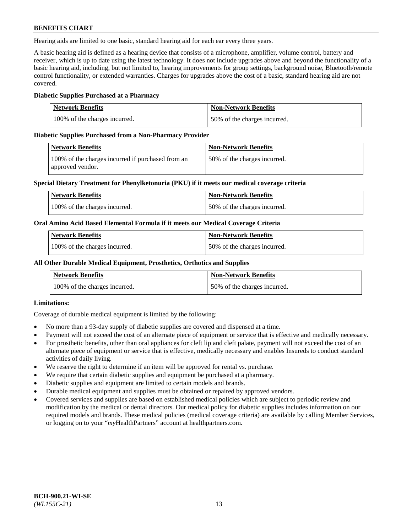Hearing aids are limited to one basic, standard hearing aid for each ear every three years.

A basic hearing aid is defined as a hearing device that consists of a microphone, amplifier, volume control, battery and receiver, which is up to date using the latest technology. It does not include upgrades above and beyond the functionality of a basic hearing aid, including, but not limited to, hearing improvements for group settings, background noise, Bluetooth/remote control functionality, or extended warranties. Charges for upgrades above the cost of a basic, standard hearing aid are not covered.

## **Diabetic Supplies Purchased at a Pharmacy**

| <b>Network Benefits</b>       | <b>Non-Network Benefits</b>  |
|-------------------------------|------------------------------|
| 100% of the charges incurred. | 50% of the charges incurred. |

#### **Diabetic Supplies Purchased from a Non-Pharmacy Provider**

| Network Benefits                                                      | <b>Non-Network Benefits</b>  |
|-----------------------------------------------------------------------|------------------------------|
| 100% of the charges incurred if purchased from an<br>approved vendor. | 50% of the charges incurred. |

#### **Special Dietary Treatment for Phenylketonuria (PKU) if it meets our medical coverage criteria**

| Network Benefits              | <b>Non-Network Benefits</b>  |
|-------------------------------|------------------------------|
| 100% of the charges incurred. | 50% of the charges incurred. |

#### **Oral Amino Acid Based Elemental Formula if it meets our Medical Coverage Criteria**

| <b>Network Benefits</b>       | <b>Non-Network Benefits</b>  |
|-------------------------------|------------------------------|
| 100% of the charges incurred. | 50% of the charges incurred. |

#### **All Other Durable Medical Equipment, Prosthetics, Orthotics and Supplies**

| <b>Network Benefits</b>       | <b>Non-Network Benefits</b>  |
|-------------------------------|------------------------------|
| 100% of the charges incurred. | 50% of the charges incurred. |

## **Limitations:**

Coverage of durable medical equipment is limited by the following:

- No more than a 93-day supply of diabetic supplies are covered and dispensed at a time.
- Payment will not exceed the cost of an alternate piece of equipment or service that is effective and medically necessary.
- For prosthetic benefits, other than oral appliances for cleft lip and cleft palate, payment will not exceed the cost of an alternate piece of equipment or service that is effective, medically necessary and enables Insureds to conduct standard activities of daily living.
- We reserve the right to determine if an item will be approved for rental vs. purchase.
- We require that certain diabetic supplies and equipment be purchased at a pharmacy.
- Diabetic supplies and equipment are limited to certain models and brands.
- Durable medical equipment and supplies must be obtained or repaired by approved vendors.
- Covered services and supplies are based on established medical policies which are subject to periodic review and modification by the medical or dental directors. Our medical policy for diabetic supplies includes information on our required models and brands. These medical policies (medical coverage criteria) are available by calling Member Services, or logging on to your "*my*HealthPartners" account a[t healthpartners.com.](https://www.healthpartners.com/hp/index.html)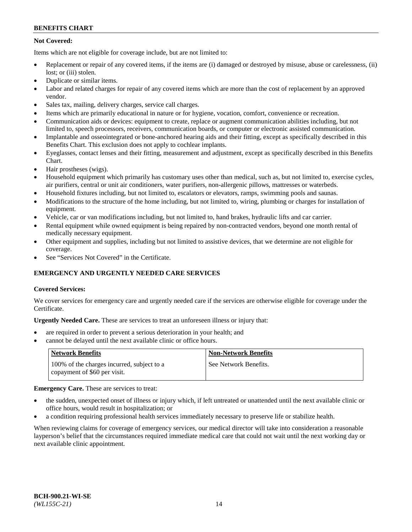## **Not Covered:**

Items which are not eligible for coverage include, but are not limited to:

- Replacement or repair of any covered items, if the items are (i) damaged or destroyed by misuse, abuse or carelessness, (ii) lost; or (iii) stolen.
- Duplicate or similar items.
- Labor and related charges for repair of any covered items which are more than the cost of replacement by an approved vendor.
- Sales tax, mailing, delivery charges, service call charges.
- Items which are primarily educational in nature or for hygiene, vocation, comfort, convenience or recreation.
- Communication aids or devices: equipment to create, replace or augment communication abilities including, but not limited to, speech processors, receivers, communication boards, or computer or electronic assisted communication.
- Implantable and osseointegrated or bone-anchored hearing aids and their fitting, except as specifically described in this Benefits Chart. This exclusion does not apply to cochlear implants.
- Eyeglasses, contact lenses and their fitting, measurement and adjustment, except as specifically described in this Benefits Chart.
- Hair prostheses (wigs).
- Household equipment which primarily has customary uses other than medical, such as, but not limited to, exercise cycles, air purifiers, central or unit air conditioners, water purifiers, non-allergenic pillows, mattresses or waterbeds.
- Household fixtures including, but not limited to, escalators or elevators, ramps, swimming pools and saunas.
- Modifications to the structure of the home including, but not limited to, wiring, plumbing or charges for installation of equipment.
- Vehicle, car or van modifications including, but not limited to, hand brakes, hydraulic lifts and car carrier.
- Rental equipment while owned equipment is being repaired by non-contracted vendors, beyond one month rental of medically necessary equipment.
- Other equipment and supplies, including but not limited to assistive devices, that we determine are not eligible for coverage.
- See "Services Not Covered" in the Certificate.

## **EMERGENCY AND URGENTLY NEEDED CARE SERVICES**

## **Covered Services:**

We cover services for emergency care and urgently needed care if the services are otherwise eligible for coverage under the Certificate.

**Urgently Needed Care.** These are services to treat an unforeseen illness or injury that:

- are required in order to prevent a serious deterioration in your health; and
- cannot be delayed until the next available clinic or office hours.

| <b>Network Benefits</b>                                                    | <b>Non-Network Benefits</b> |
|----------------------------------------------------------------------------|-----------------------------|
| 100% of the charges incurred, subject to a<br>copayment of \$60 per visit. | See Network Benefits.       |

## **Emergency Care.** These are services to treat:

- the sudden, unexpected onset of illness or injury which, if left untreated or unattended until the next available clinic or office hours, would result in hospitalization; or
- a condition requiring professional health services immediately necessary to preserve life or stabilize health.

When reviewing claims for coverage of emergency services, our medical director will take into consideration a reasonable layperson's belief that the circumstances required immediate medical care that could not wait until the next working day or next available clinic appointment.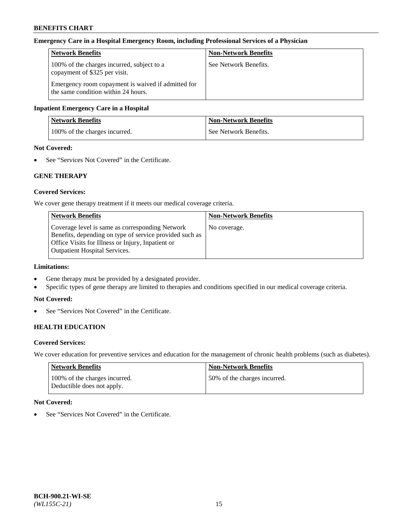#### **Emergency Care in a Hospital Emergency Room, including Professional Services of a Physician**

| <b>Network Benefits</b>                                                                   | <b>Non-Network Benefits</b> |
|-------------------------------------------------------------------------------------------|-----------------------------|
| 100% of the charges incurred, subject to a<br>copayment of \$325 per visit.               | See Network Benefits.       |
| Emergency room copayment is waived if admitted for<br>the same condition within 24 hours. |                             |

#### **Inpatient Emergency Care in a Hospital**

| <b>Network Benefits</b>       | <b>Non-Network Benefits</b> |
|-------------------------------|-----------------------------|
| 100% of the charges incurred. | See Network Benefits.       |

## **Not Covered:**

• See "Services Not Covered" in the Certificate.

## **GENE THERAPY**

## **Covered Services:**

We cover gene therapy treatment if it meets our medical coverage criteria.

| <b>Non-Network Benefits</b> |
|-----------------------------|
| No coverage.                |
|                             |
|                             |
|                             |
|                             |

## **Limitations:**

- Gene therapy must be provided by a designated provider.
- Specific types of gene therapy are limited to therapies and conditions specified in our medical coverage criteria.

#### **Not Covered:**

• See "Services Not Covered" in the Certificate.

## **HEALTH EDUCATION**

#### **Covered Services:**

We cover education for preventive services and education for the management of chronic health problems (such as diabetes).

| <b>Network Benefits</b>                                     | <b>Non-Network Benefits</b>  |
|-------------------------------------------------------------|------------------------------|
| 100% of the charges incurred.<br>Deductible does not apply. | 50% of the charges incurred. |

## **Not Covered:**

• See "Services Not Covered" in the Certificate.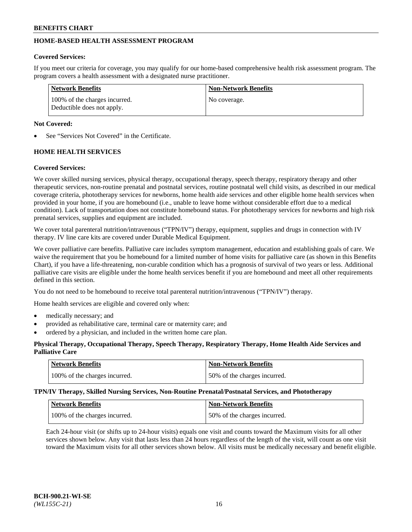## **HOME-BASED HEALTH ASSESSMENT PROGRAM**

## **Covered Services:**

If you meet our criteria for coverage, you may qualify for our home-based comprehensive health risk assessment program. The program covers a health assessment with a designated nurse practitioner.

| <b>Network Benefits</b>                                     | <b>Non-Network Benefits</b> |
|-------------------------------------------------------------|-----------------------------|
| 100% of the charges incurred.<br>Deductible does not apply. | No coverage.                |

## **Not Covered:**

See "Services Not Covered" in the Certificate.

## **HOME HEALTH SERVICES**

## **Covered Services:**

We cover skilled nursing services, physical therapy, occupational therapy, speech therapy, respiratory therapy and other therapeutic services, non-routine prenatal and postnatal services, routine postnatal well child visits, as described in our medical coverage criteria, phototherapy services for newborns, home health aide services and other eligible home health services when provided in your home, if you are homebound (i.e., unable to leave home without considerable effort due to a medical condition). Lack of transportation does not constitute homebound status. For phototherapy services for newborns and high risk prenatal services, supplies and equipment are included.

We cover total parenteral nutrition/intravenous ("TPN/IV") therapy, equipment, supplies and drugs in connection with IV therapy. IV line care kits are covered under Durable Medical Equipment.

We cover palliative care benefits. Palliative care includes symptom management, education and establishing goals of care. We waive the requirement that you be homebound for a limited number of home visits for palliative care (as shown in this Benefits Chart), if you have a life-threatening, non-curable condition which has a prognosis of survival of two years or less. Additional palliative care visits are eligible under the home health services benefit if you are homebound and meet all other requirements defined in this section.

You do not need to be homebound to receive total parenteral nutrition/intravenous ("TPN/IV") therapy.

Home health services are eligible and covered only when:

- medically necessary; and
- provided as rehabilitative care, terminal care or maternity care; and
- ordered by a physician, and included in the written home care plan.

## **Physical Therapy, Occupational Therapy, Speech Therapy, Respiratory Therapy, Home Health Aide Services and Palliative Care**

| Network Benefits              | <b>Non-Network Benefits</b>  |
|-------------------------------|------------------------------|
| 100% of the charges incurred. | 50% of the charges incurred. |

**TPN/IV Therapy, Skilled Nursing Services, Non-Routine Prenatal/Postnatal Services, and Phototherapy**

| Network Benefits              | <b>Non-Network Benefits</b>  |
|-------------------------------|------------------------------|
| 100% of the charges incurred. | 50% of the charges incurred. |

Each 24-hour visit (or shifts up to 24-hour visits) equals one visit and counts toward the Maximum visits for all other services shown below. Any visit that lasts less than 24 hours regardless of the length of the visit, will count as one visit toward the Maximum visits for all other services shown below. All visits must be medically necessary and benefit eligible.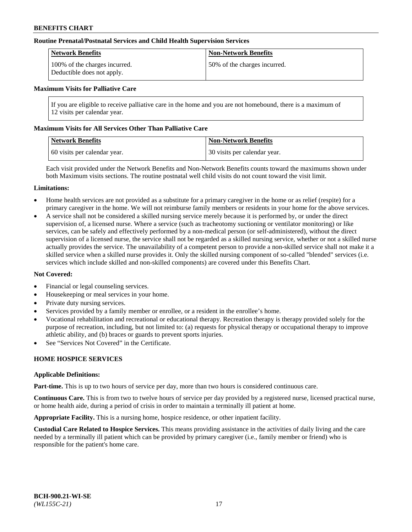#### **Routine Prenatal/Postnatal Services and Child Health Supervision Services**

| Network Benefits                                            | <b>Non-Network Benefits</b>  |
|-------------------------------------------------------------|------------------------------|
| 100% of the charges incurred.<br>Deductible does not apply. | 50% of the charges incurred. |

#### **Maximum Visits for Palliative Care**

If you are eligible to receive palliative care in the home and you are not homebound, there is a maximum of 12 visits per calendar year.

#### **Maximum Visits for All Services Other Than Palliative Care**

| <b>Network Benefits</b>      | <b>Non-Network Benefits</b>  |
|------------------------------|------------------------------|
| 60 visits per calendar year. | 30 visits per calendar year. |

Each visit provided under the Network Benefits and Non-Network Benefits counts toward the maximums shown under both Maximum visits sections. The routine postnatal well child visits do not count toward the visit limit.

#### **Limitations:**

- Home health services are not provided as a substitute for a primary caregiver in the home or as relief (respite) for a primary caregiver in the home. We will not reimburse family members or residents in your home for the above services.
- A service shall not be considered a skilled nursing service merely because it is performed by, or under the direct supervision of, a licensed nurse. Where a service (such as tracheotomy suctioning or ventilator monitoring) or like services, can be safely and effectively performed by a non-medical person (or self-administered), without the direct supervision of a licensed nurse, the service shall not be regarded as a skilled nursing service, whether or not a skilled nurse actually provides the service. The unavailability of a competent person to provide a non-skilled service shall not make it a skilled service when a skilled nurse provides it. Only the skilled nursing component of so-called "blended" services (i.e. services which include skilled and non-skilled components) are covered under this Benefits Chart.

#### **Not Covered:**

- Financial or legal counseling services.
- Housekeeping or meal services in your home.
- Private duty nursing services.
- Services provided by a family member or enrollee, or a resident in the enrollee's home.
- Vocational rehabilitation and recreational or educational therapy. Recreation therapy is therapy provided solely for the purpose of recreation, including, but not limited to: (a) requests for physical therapy or occupational therapy to improve athletic ability, and (b) braces or guards to prevent sports injuries.
- See "Services Not Covered" in the Certificate.

## **HOME HOSPICE SERVICES**

#### **Applicable Definitions:**

**Part-time.** This is up to two hours of service per day, more than two hours is considered continuous care.

**Continuous Care.** This is from two to twelve hours of service per day provided by a registered nurse, licensed practical nurse, or home health aide, during a period of crisis in order to maintain a terminally ill patient at home.

**Appropriate Facility.** This is a nursing home, hospice residence, or other inpatient facility.

**Custodial Care Related to Hospice Services.** This means providing assistance in the activities of daily living and the care needed by a terminally ill patient which can be provided by primary caregiver (i.e., family member or friend) who is responsible for the patient's home care.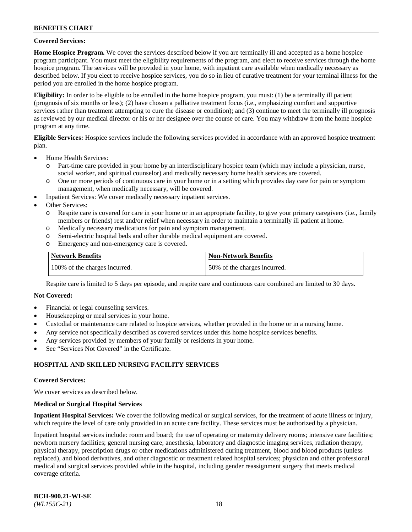#### **Covered Services:**

**Home Hospice Program.** We cover the services described below if you are terminally ill and accepted as a home hospice program participant. You must meet the eligibility requirements of the program, and elect to receive services through the home hospice program. The services will be provided in your home, with inpatient care available when medically necessary as described below. If you elect to receive hospice services, you do so in lieu of curative treatment for your terminal illness for the period you are enrolled in the home hospice program.

**Eligibility:** In order to be eligible to be enrolled in the home hospice program, you must: (1) be a terminally ill patient (prognosis of six months or less); (2) have chosen a palliative treatment focus (i.e., emphasizing comfort and supportive services rather than treatment attempting to cure the disease or condition); and (3) continue to meet the terminally ill prognosis as reviewed by our medical director or his or her designee over the course of care. You may withdraw from the home hospice program at any time.

**Eligible Services:** Hospice services include the following services provided in accordance with an approved hospice treatment plan.

- Home Health Services:
	- o Part-time care provided in your home by an interdisciplinary hospice team (which may include a physician, nurse, social worker, and spiritual counselor) and medically necessary home health services are covered.
	- o One or more periods of continuous care in your home or in a setting which provides day care for pain or symptom management, when medically necessary, will be covered.
	- Inpatient Services: We cover medically necessary inpatient services.
- Other Services:
	- o Respite care is covered for care in your home or in an appropriate facility, to give your primary caregivers (i.e., family members or friends) rest and/or relief when necessary in order to maintain a terminally ill patient at home.
	- o Medically necessary medications for pain and symptom management.
	- o Semi-electric hospital beds and other durable medical equipment are covered.
	- o Emergency and non-emergency care is covered.

| Network Benefits              | <b>Non-Network Benefits</b>  |
|-------------------------------|------------------------------|
| 100% of the charges incurred. | 50% of the charges incurred. |

Respite care is limited to 5 days per episode, and respite care and continuous care combined are limited to 30 days.

## **Not Covered:**

- Financial or legal counseling services.
- Housekeeping or meal services in your home.
- Custodial or maintenance care related to hospice services, whether provided in the home or in a nursing home.
- Any service not specifically described as covered services under this home hospice services benefits.
- Any services provided by members of your family or residents in your home.
- See "Services Not Covered" in the Certificate.

## **HOSPITAL AND SKILLED NURSING FACILITY SERVICES**

#### **Covered Services:**

We cover services as described below.

#### **Medical or Surgical Hospital Services**

**Inpatient Hospital Services:** We cover the following medical or surgical services, for the treatment of acute illness or injury, which require the level of care only provided in an acute care facility. These services must be authorized by a physician.

Inpatient hospital services include: room and board; the use of operating or maternity delivery rooms; intensive care facilities; newborn nursery facilities; general nursing care, anesthesia, laboratory and diagnostic imaging services, radiation therapy, physical therapy, prescription drugs or other medications administered during treatment, blood and blood products (unless replaced), and blood derivatives, and other diagnostic or treatment related hospital services; physician and other professional medical and surgical services provided while in the hospital, including gender reassignment surgery that meets medical coverage criteria.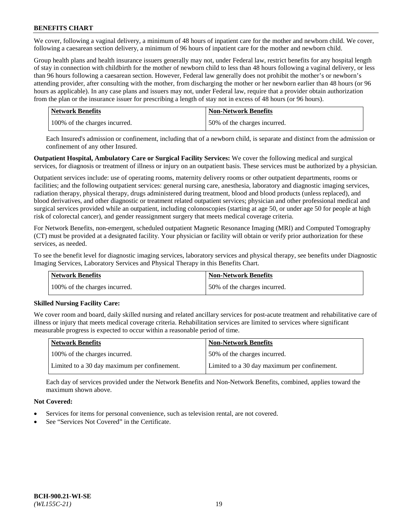We cover, following a vaginal delivery, a minimum of 48 hours of inpatient care for the mother and newborn child. We cover, following a caesarean section delivery, a minimum of 96 hours of inpatient care for the mother and newborn child.

Group health plans and health insurance issuers generally may not, under Federal law, restrict benefits for any hospital length of stay in connection with childbirth for the mother of newborn child to less than 48 hours following a vaginal delivery, or less than 96 hours following a caesarean section. However, Federal law generally does not prohibit the mother's or newborn's attending provider, after consulting with the mother, from discharging the mother or her newborn earlier than 48 hours (or 96 hours as applicable). In any case plans and issuers may not, under Federal law, require that a provider obtain authorization from the plan or the insurance issuer for prescribing a length of stay not in excess of 48 hours (or 96 hours).

| Network Benefits              | <b>Non-Network Benefits</b>  |
|-------------------------------|------------------------------|
| 100% of the charges incurred. | 50% of the charges incurred. |

Each Insured's admission or confinement, including that of a newborn child, is separate and distinct from the admission or confinement of any other Insured.

**Outpatient Hospital, Ambulatory Care or Surgical Facility Services:** We cover the following medical and surgical services, for diagnosis or treatment of illness or injury on an outpatient basis. These services must be authorized by a physician.

Outpatient services include: use of operating rooms, maternity delivery rooms or other outpatient departments, rooms or facilities; and the following outpatient services: general nursing care, anesthesia, laboratory and diagnostic imaging services, radiation therapy, physical therapy, drugs administered during treatment, blood and blood products (unless replaced), and blood derivatives, and other diagnostic or treatment related outpatient services; physician and other professional medical and surgical services provided while an outpatient, including colonoscopies (starting at age 50, or under age 50 for people at high risk of colorectal cancer), and gender reassignment surgery that meets medical coverage criteria.

For Network Benefits, non-emergent, scheduled outpatient Magnetic Resonance Imaging (MRI) and Computed Tomography (CT) must be provided at a designated facility. Your physician or facility will obtain or verify prior authorization for these services, as needed.

To see the benefit level for diagnostic imaging services, laboratory services and physical therapy, see benefits under Diagnostic Imaging Services, Laboratory Services and Physical Therapy in this Benefits Chart.

| <b>Network Benefits</b>       | <b>Non-Network Benefits</b>  |
|-------------------------------|------------------------------|
| 100% of the charges incurred. | 50% of the charges incurred. |

## **Skilled Nursing Facility Care:**

We cover room and board, daily skilled nursing and related ancillary services for post-acute treatment and rehabilitative care of illness or injury that meets medical coverage criteria. Rehabilitation services are limited to services where significant measurable progress is expected to occur within a reasonable period of time.

| <b>Network Benefits</b>                      | <b>Non-Network Benefits</b>                  |
|----------------------------------------------|----------------------------------------------|
| 100% of the charges incurred.                | 50% of the charges incurred.                 |
| Limited to a 30 day maximum per confinement. | Limited to a 30 day maximum per confinement. |

Each day of services provided under the Network Benefits and Non-Network Benefits, combined, applies toward the maximum shown above.

## **Not Covered:**

- Services for items for personal convenience, such as television rental, are not covered.
- See "Services Not Covered" in the Certificate.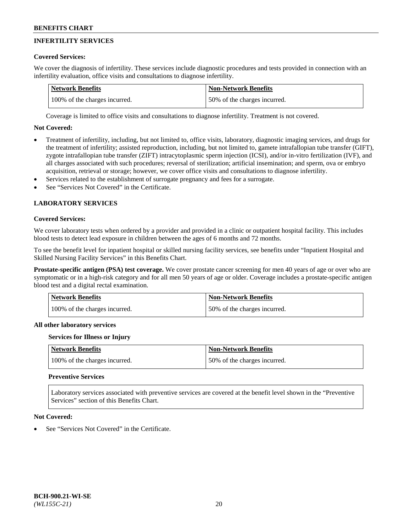# **INFERTILITY SERVICES**

## **Covered Services:**

We cover the diagnosis of infertility. These services include diagnostic procedures and tests provided in connection with an infertility evaluation, office visits and consultations to diagnose infertility.

| Network Benefits              | Non-Network Benefits         |
|-------------------------------|------------------------------|
| 100% of the charges incurred. | 50% of the charges incurred. |

Coverage is limited to office visits and consultations to diagnose infertility. Treatment is not covered.

## **Not Covered:**

- Treatment of infertility, including, but not limited to, office visits, laboratory, diagnostic imaging services, and drugs for the treatment of infertility; assisted reproduction, including, but not limited to, gamete intrafallopian tube transfer (GIFT), zygote intrafallopian tube transfer (ZIFT) intracytoplasmic sperm injection (ICSI), and/or in-vitro fertilization (IVF), and all charges associated with such procedures; reversal of sterilization; artificial insemination; and sperm, ova or embryo acquisition, retrieval or storage; however, we cover office visits and consultations to diagnose infertility.
- Services related to the establishment of surrogate pregnancy and fees for a surrogate.
- See "Services Not Covered" in the Certificate.

## **LABORATORY SERVICES**

#### **Covered Services:**

We cover laboratory tests when ordered by a provider and provided in a clinic or outpatient hospital facility. This includes blood tests to detect lead exposure in children between the ages of 6 months and 72 months.

To see the benefit level for inpatient hospital or skilled nursing facility services, see benefits under "Inpatient Hospital and Skilled Nursing Facility Services" in this Benefits Chart.

**Prostate-specific antigen (PSA) test coverage.** We cover prostate cancer screening for men 40 years of age or over who are symptomatic or in a high-risk category and for all men 50 years of age or older. Coverage includes a prostate-specific antigen blood test and a digital rectal examination.

| Network Benefits              | <b>Non-Network Benefits</b>  |
|-------------------------------|------------------------------|
| 100% of the charges incurred. | 50% of the charges incurred. |

## **All other laboratory services**

#### **Services for Illness or Injury**

| <b>Network Benefits</b>       | <b>Non-Network Benefits</b>  |
|-------------------------------|------------------------------|
| 100% of the charges incurred. | 50% of the charges incurred. |

## **Preventive Services**

Laboratory services associated with preventive services are covered at the benefit level shown in the "Preventive Services" section of this Benefits Chart.

#### **Not Covered:**

See "Services Not Covered" in the Certificate.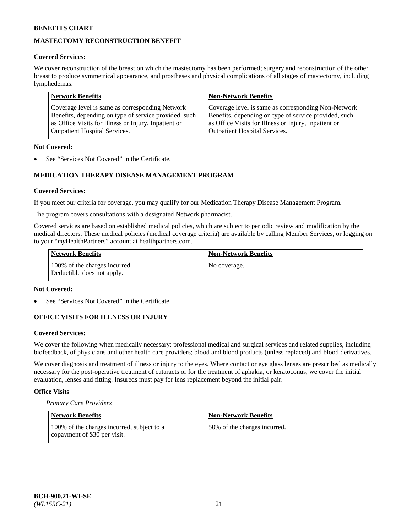# **MASTECTOMY RECONSTRUCTION BENEFIT**

### **Covered Services:**

We cover reconstruction of the breast on which the mastectomy has been performed; surgery and reconstruction of the other breast to produce symmetrical appearance, and prostheses and physical complications of all stages of mastectomy, including lymphedemas.

| <b>Network Benefits</b>                               | <b>Non-Network Benefits</b>                           |
|-------------------------------------------------------|-------------------------------------------------------|
| Coverage level is same as corresponding Network       | Coverage level is same as corresponding Non-Network   |
| Benefits, depending on type of service provided, such | Benefits, depending on type of service provided, such |
| as Office Visits for Illness or Injury, Inpatient or  | as Office Visits for Illness or Injury, Inpatient or  |
| <b>Outpatient Hospital Services.</b>                  | <b>Outpatient Hospital Services.</b>                  |

### **Not Covered:**

See "Services Not Covered" in the Certificate.

## **MEDICATION THERAPY DISEASE MANAGEMENT PROGRAM**

## **Covered Services:**

If you meet our criteria for coverage, you may qualify for our Medication Therapy Disease Management Program.

The program covers consultations with a designated Network pharmacist.

Covered services are based on established medical policies, which are subject to periodic review and modification by the medical directors. These medical policies (medical coverage criteria) are available by calling Member Services, or logging on to your "*my*HealthPartners" account at [healthpartners.com.](http://www.healthpartners.com/)

| Network Benefits                                            | <b>Non-Network Benefits</b> |
|-------------------------------------------------------------|-----------------------------|
| 100% of the charges incurred.<br>Deductible does not apply. | No coverage.                |

#### **Not Covered:**

See "Services Not Covered" in the Certificate.

## **OFFICE VISITS FOR ILLNESS OR INJURY**

#### **Covered Services:**

We cover the following when medically necessary: professional medical and surgical services and related supplies, including biofeedback, of physicians and other health care providers; blood and blood products (unless replaced) and blood derivatives.

We cover diagnosis and treatment of illness or injury to the eyes. Where contact or eye glass lenses are prescribed as medically necessary for the post-operative treatment of cataracts or for the treatment of aphakia, or keratoconus, we cover the initial evaluation, lenses and fitting. Insureds must pay for lens replacement beyond the initial pair.

## **Office Visits**

*Primary Care Providers*

| Network Benefits                                                           | <b>Non-Network Benefits</b>  |
|----------------------------------------------------------------------------|------------------------------|
| 100% of the charges incurred, subject to a<br>copayment of \$30 per visit. | 50% of the charges incurred. |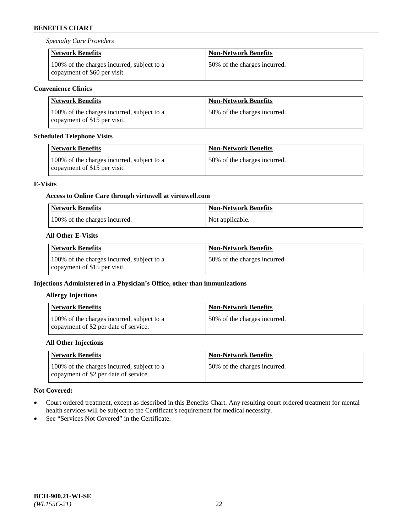*Specialty Care Providers*

| <b>Network Benefits</b>                                                    | <b>Non-Network Benefits</b>  |
|----------------------------------------------------------------------------|------------------------------|
| 100% of the charges incurred, subject to a<br>copayment of \$60 per visit. | 50% of the charges incurred. |

## **Convenience Clinics**

| <b>Network Benefits</b>                                                    | <b>Non-Network Benefits</b>   |
|----------------------------------------------------------------------------|-------------------------------|
| 100% of the charges incurred, subject to a<br>copayment of \$15 per visit. | 150% of the charges incurred. |

## **Scheduled Telephone Visits**

| <b>Network Benefits</b>                                                    | <b>Non-Network Benefits</b>  |
|----------------------------------------------------------------------------|------------------------------|
| 100% of the charges incurred, subject to a<br>copayment of \$15 per visit. | 50% of the charges incurred. |

## **E-Visits**

# **Access to Online Care through virtuwell a[t virtuwell.com](https://www.virtuwell.com/)**

| <b>Network Benefits</b>       | <b>Non-Network Benefits</b> |
|-------------------------------|-----------------------------|
| 100% of the charges incurred. | Not applicable.             |

## **All Other E-Visits**

| Network Benefits                                                           | <b>Non-Network Benefits</b>  |
|----------------------------------------------------------------------------|------------------------------|
| 100% of the charges incurred, subject to a<br>copayment of \$15 per visit. | 50% of the charges incurred. |

## **Injections Administered in a Physician's Office, other than immunizations**

## **Allergy Injections**

| Network Benefits                                                                    | <b>Non-Network Benefits</b>  |
|-------------------------------------------------------------------------------------|------------------------------|
| 100% of the charges incurred, subject to a<br>copayment of \$2 per date of service. | 50% of the charges incurred. |

## **All Other Injections**

| <b>Network Benefits</b>                                                             | <b>Non-Network Benefits</b>  |
|-------------------------------------------------------------------------------------|------------------------------|
| 100% of the charges incurred, subject to a<br>copayment of \$2 per date of service. | 50% of the charges incurred. |

## **Not Covered:**

- Court ordered treatment, except as described in this Benefits Chart. Any resulting court ordered treatment for mental health services will be subject to the Certificate's requirement for medical necessity.
- See "Services Not Covered" in the Certificate.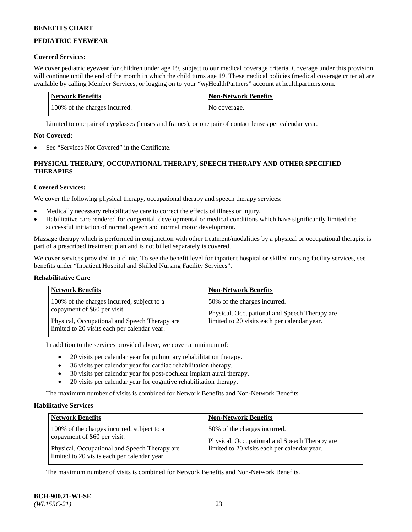## **PEDIATRIC EYEWEAR**

#### **Covered Services:**

We cover pediatric eyewear for children under age 19, subject to our medical coverage criteria. Coverage under this provision will continue until the end of the month in which the child turns age 19. These medical policies (medical coverage criteria) are available by calling Member Services, or logging on to your "*my*HealthPartners" account a[t healthpartners.com.](https://www.healthpartners.com/hp/index.html)

| Network Benefits              | <b>Non-Network Benefits</b> |
|-------------------------------|-----------------------------|
| 100% of the charges incurred. | No coverage.                |

Limited to one pair of eyeglasses (lenses and frames), or one pair of contact lenses per calendar year.

#### **Not Covered:**

See "Services Not Covered" in the Certificate.

## **PHYSICAL THERAPY, OCCUPATIONAL THERAPY, SPEECH THERAPY AND OTHER SPECIFIED THERAPIES**

## **Covered Services:**

We cover the following physical therapy, occupational therapy and speech therapy services:

- Medically necessary rehabilitative care to correct the effects of illness or injury.
- Habilitative care rendered for congenital, developmental or medical conditions which have significantly limited the successful initiation of normal speech and normal motor development.

Massage therapy which is performed in conjunction with other treatment/modalities by a physical or occupational therapist is part of a prescribed treatment plan and is not billed separately is covered.

We cover services provided in a clinic. To see the benefit level for inpatient hospital or skilled nursing facility services, see benefits under "Inpatient Hospital and Skilled Nursing Facility Services".

#### **Rehabilitative Care**

| <b>Network Benefits</b>                        | <b>Non-Network Benefits</b>                   |
|------------------------------------------------|-----------------------------------------------|
| 100% of the charges incurred, subject to a     | 50% of the charges incurred.                  |
| copayment of \$60 per visit.                   | Physical, Occupational and Speech Therapy are |
| Physical, Occupational and Speech Therapy are. | limited to 20 visits each per calendar year.  |
| limited to 20 visits each per calendar year.   |                                               |

In addition to the services provided above, we cover a minimum of:

- 20 visits per calendar year for pulmonary rehabilitation therapy.
- 36 visits per calendar year for cardiac rehabilitation therapy.
- 30 visits per calendar year for post-cochlear implant aural therapy.
- 20 visits per calendar year for cognitive rehabilitation therapy.

The maximum number of visits is combined for Network Benefits and Non-Network Benefits.

#### **Habilitative Services**

| <b>Network Benefits</b>                                                                                                     | <b>Non-Network Benefits</b>                                                                                                   |
|-----------------------------------------------------------------------------------------------------------------------------|-------------------------------------------------------------------------------------------------------------------------------|
| 100% of the charges incurred, subject to a<br>copayment of \$60 per visit.<br>Physical, Occupational and Speech Therapy are | 50% of the charges incurred.<br>Physical, Occupational and Speech Therapy are<br>limited to 20 visits each per calendar year. |
| limited to 20 visits each per calendar year.                                                                                |                                                                                                                               |

The maximum number of visits is combined for Network Benefits and Non-Network Benefits.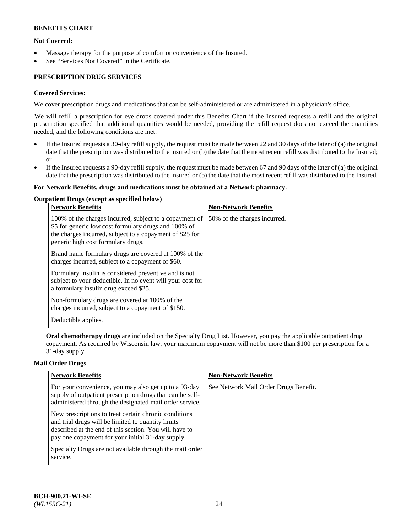## **Not Covered:**

- Massage therapy for the purpose of comfort or convenience of the Insured.
- See "Services Not Covered" in the Certificate.

## **PRESCRIPTION DRUG SERVICES**

## **Covered Services:**

We cover prescription drugs and medications that can be self-administered or are administered in a physician's office.

We will refill a prescription for eye drops covered under this Benefits Chart if the Insured requests a refill and the original prescription specified that additional quantities would be needed, providing the refill request does not exceed the quantities needed, and the following conditions are met:

- If the Insured requests a 30-day refill supply, the request must be made between 22 and 30 days of the later of (a) the original date that the prescription was distributed to the insured or (b) the date that the most recent refill was distributed to the Insured; or
- If the Insured requests a 90-day refill supply, the request must be made between 67 and 90 days of the later of (a) the original date that the prescription was distributed to the insured or (b) the date that the most recent refill was distributed to the Insured.

#### **For Network Benefits, drugs and medications must be obtained at a Network pharmacy.**

#### **Outpatient Drugs (except as specified below)**

| <b>Network Benefits</b>                                                                                                                                                                                           | <b>Non-Network Benefits</b>  |
|-------------------------------------------------------------------------------------------------------------------------------------------------------------------------------------------------------------------|------------------------------|
| 100% of the charges incurred, subject to a copayment of<br>\$5 for generic low cost formulary drugs and 100% of<br>the charges incurred, subject to a copayment of \$25 for<br>generic high cost formulary drugs. | 50% of the charges incurred. |
| Brand name formulary drugs are covered at 100% of the<br>charges incurred, subject to a copayment of \$60.                                                                                                        |                              |
| Formulary insulin is considered preventive and is not<br>subject to your deductible. In no event will your cost for<br>a formulary insulin drug exceed \$25.                                                      |                              |
| Non-formulary drugs are covered at 100% of the<br>charges incurred, subject to a copayment of \$150.                                                                                                              |                              |
| Deductible applies.                                                                                                                                                                                               |                              |

**Oral chemotherapy drugs** are included on the Specialty Drug List. However, you pay the applicable outpatient drug copayment. As required by Wisconsin law, your maximum copayment will not be more than \$100 per prescription for a 31-day supply.

#### **Mail Order Drugs**

| <b>Network Benefits</b>                                                                                                                                                                                                    | <b>Non-Network Benefits</b>           |
|----------------------------------------------------------------------------------------------------------------------------------------------------------------------------------------------------------------------------|---------------------------------------|
| For your convenience, you may also get up to a 93-day<br>supply of outpatient prescription drugs that can be self-<br>administered through the designated mail order service.                                              | See Network Mail Order Drugs Benefit. |
| New prescriptions to treat certain chronic conditions<br>and trial drugs will be limited to quantity limits<br>described at the end of this section. You will have to<br>pay one copayment for your initial 31-day supply. |                                       |
| Specialty Drugs are not available through the mail order<br>service.                                                                                                                                                       |                                       |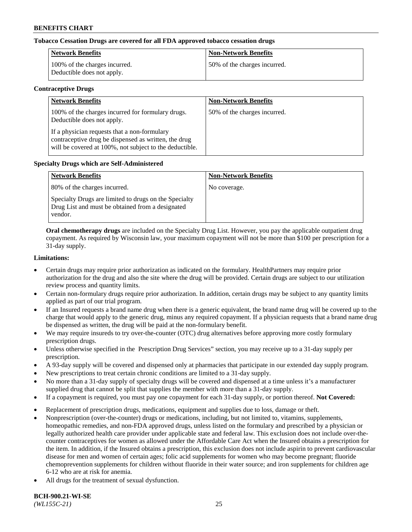## **Tobacco Cessation Drugs are covered for all FDA approved tobacco cessation drugs**

| <b>Network Benefits</b>                                     | <b>Non-Network Benefits</b>  |
|-------------------------------------------------------------|------------------------------|
| 100% of the charges incurred.<br>Deductible does not apply. | 50% of the charges incurred. |

#### **Contraceptive Drugs**

| <b>Network Benefits</b>                                                                                                                                         | <b>Non-Network Benefits</b>  |
|-----------------------------------------------------------------------------------------------------------------------------------------------------------------|------------------------------|
| 100% of the charges incurred for formulary drugs.<br>Deductible does not apply.                                                                                 | 50% of the charges incurred. |
| If a physician requests that a non-formulary<br>contraceptive drug be dispensed as written, the drug<br>will be covered at 100%, not subject to the deductible. |                              |

#### **Specialty Drugs which are Self-Administered**

| <b>Network Benefits</b>                                                                                              | <b>Non-Network Benefits</b> |
|----------------------------------------------------------------------------------------------------------------------|-----------------------------|
| 80% of the charges incurred.                                                                                         | No coverage.                |
| Specialty Drugs are limited to drugs on the Specialty<br>Drug List and must be obtained from a designated<br>vendor. |                             |

**Oral chemotherapy drugs** are included on the Specialty Drug List. However, you pay the applicable outpatient drug copayment. As required by Wisconsin law, your maximum copayment will not be more than \$100 per prescription for a 31-day supply.

#### **Limitations:**

- Certain drugs may require prior authorization as indicated on the formulary. HealthPartners may require prior authorization for the drug and also the site where the drug will be provided. Certain drugs are subject to our utilization review process and quantity limits.
- Certain non-formulary drugs require prior authorization. In addition, certain drugs may be subject to any quantity limits applied as part of our trial program.
- If an Insured requests a brand name drug when there is a generic equivalent, the brand name drug will be covered up to the charge that would apply to the generic drug, minus any required copayment. If a physician requests that a brand name drug be dispensed as written, the drug will be paid at the non-formulary benefit.
- We may require insureds to try over-the-counter (OTC) drug alternatives before approving more costly formulary prescription drugs.
- Unless otherwise specified in the Prescription Drug Services" section, you may receive up to a 31-day supply per prescription.
- A 93-day supply will be covered and dispensed only at pharmacies that participate in our extended day supply program.
- New prescriptions to treat certain chronic conditions are limited to a 31-day supply.
- No more than a 31-day supply of specialty drugs will be covered and dispensed at a time unless it's a manufacturer supplied drug that cannot be split that supplies the member with more than a 31-day supply.
- If a copayment is required, you must pay one copayment for each 31-day supply, or portion thereof. **Not Covered:**
- Replacement of prescription drugs, medications, equipment and supplies due to loss, damage or theft.
- Nonprescription (over-the-counter) drugs or medications, including, but not limited to, vitamins, supplements, homeopathic remedies, and non-FDA approved drugs, unless listed on the formulary and prescribed by a physician or legally authorized health care provider under applicable state and federal law. This exclusion does not include over-thecounter contraceptives for women as allowed under the Affordable Care Act when the Insured obtains a prescription for the item. In addition, if the Insured obtains a prescription, this exclusion does not include aspirin to prevent cardiovascular disease for men and women of certain ages; folic acid supplements for women who may become pregnant; fluoride chemoprevention supplements for children without fluoride in their water source; and iron supplements for children age 6-12 who are at risk for anemia.
- All drugs for the treatment of sexual dysfunction.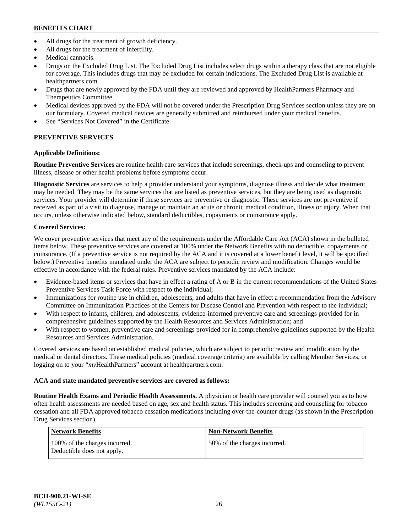- All drugs for the treatment of growth deficiency.
- All drugs for the treatment of infertility.
- Medical cannabis.
- Drugs on the Excluded Drug List. The Excluded Drug List includes select drugs within a therapy class that are not eligible for coverage. This includes drugs that may be excluded for certain indications. The Excluded Drug List is available at [healthpartners.com.](http://www.healthpartners.com/)
- Drugs that are newly approved by the FDA until they are reviewed and approved by HealthPartners Pharmacy and Therapeutics Committee.
- Medical devices approved by the FDA will not be covered under the Prescription Drug Services section unless they are on our formulary. Covered medical devices are generally submitted and reimbursed under your medical benefits.
- See "Services Not Covered" in the Certificate.

## **PREVENTIVE SERVICES**

## **Applicable Definitions:**

**Routine Preventive Services** are routine health care services that include screenings, check-ups and counseling to prevent illness, disease or other health problems before symptoms occur.

**Diagnostic Services** are services to help a provider understand your symptoms, diagnose illness and decide what treatment may be needed. They may be the same services that are listed as preventive services, but they are being used as diagnostic services. Your provider will determine if these services are preventive or diagnostic. These services are not preventive if received as part of a visit to diagnose, manage or maintain an acute or chronic medical condition, illness or injury. When that occurs, unless otherwise indicated below, standard deductibles, copayments or coinsurance apply.

## **Covered Services:**

We cover preventive services that meet any of the requirements under the Affordable Care Act (ACA) shown in the bulleted items below. These preventive services are covered at 100% under the Network Benefits with no deductible, copayments or coinsurance. (If a preventive service is not required by the ACA and it is covered at a lower benefit level, it will be specified below.) Preventive benefits mandated under the ACA are subject to periodic review and modification. Changes would be effective in accordance with the federal rules. Preventive services mandated by the ACA include:

- Evidence-based items or services that have in effect a rating of A or B in the current recommendations of the United States Preventive Services Task Force with respect to the individual;
- Immunizations for routine use in children, adolescents, and adults that have in effect a recommendation from the Advisory Committee on Immunization Practices of the Centers for Disease Control and Prevention with respect to the individual;
- With respect to infants, children, and adolescents, evidence-informed preventive care and screenings provided for in comprehensive guidelines supported by the Health Resources and Services Administration; and
- With respect to women, preventive care and screenings provided for in comprehensive guidelines supported by the Health Resources and Services Administration.

Covered services are based on established medical policies, which are subject to periodic review and modification by the medical or dental directors. These medical policies (medical coverage criteria) are available by calling Member Services, or logging on to your "*my*HealthPartners" account at [healthpartners.com.](https://www.healthpartners.com/hp/index.html)

## **ACA and state mandated preventive services are covered as follows:**

**Routine Health Exams and Periodic Health Assessments.** A physician or health care provider will counsel you as to how often health assessments are needed based on age, sex and health status. This includes screening and counseling for tobacco cessation and all FDA approved tobacco cessation medications including over-the-counter drugs (as shown in the Prescription Drug Services section).

| <b>Network Benefits</b>                                     | <b>Non-Network Benefits</b>  |
|-------------------------------------------------------------|------------------------------|
| 100% of the charges incurred.<br>Deductible does not apply. | 50% of the charges incurred. |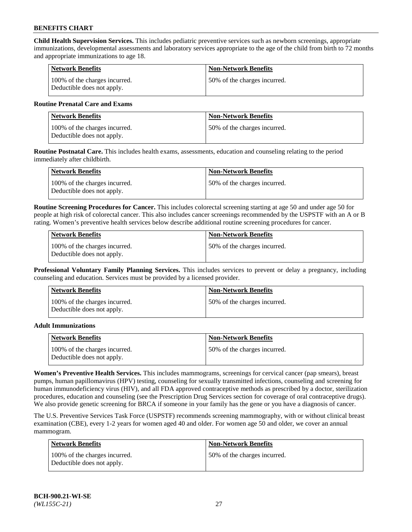**Child Health Supervision Services.** This includes pediatric preventive services such as newborn screenings, appropriate immunizations, developmental assessments and laboratory services appropriate to the age of the child from birth to 72 months and appropriate immunizations to age 18.

| <b>Network Benefits</b>                                     | <b>Non-Network Benefits</b>  |
|-------------------------------------------------------------|------------------------------|
| 100% of the charges incurred.<br>Deductible does not apply. | 50% of the charges incurred. |

#### **Routine Prenatal Care and Exams**

| Network Benefits                                            | <b>Non-Network Benefits</b>  |
|-------------------------------------------------------------|------------------------------|
| 100% of the charges incurred.<br>Deductible does not apply. | 50% of the charges incurred. |

**Routine Postnatal Care.** This includes health exams, assessments, education and counseling relating to the period immediately after childbirth.

| <b>Network Benefits</b>                                     | <b>Non-Network Benefits</b>  |
|-------------------------------------------------------------|------------------------------|
| 100% of the charges incurred.<br>Deductible does not apply. | 50% of the charges incurred. |

**Routine Screening Procedures for Cancer.** This includes colorectal screening starting at age 50 and under age 50 for people at high risk of colorectal cancer. This also includes cancer screenings recommended by the USPSTF with an A or B rating. Women's preventive health services below describe additional routine screening procedures for cancer.

| <b>Network Benefits</b>                                     | <b>Non-Network Benefits</b>   |
|-------------------------------------------------------------|-------------------------------|
| 100% of the charges incurred.<br>Deductible does not apply. | 150% of the charges incurred. |

**Professional Voluntary Family Planning Services.** This includes services to prevent or delay a pregnancy, including counseling and education. Services must be provided by a licensed provider.

| <b>Network Benefits</b>                                     | <b>Non-Network Benefits</b>  |
|-------------------------------------------------------------|------------------------------|
| 100% of the charges incurred.<br>Deductible does not apply. | 50% of the charges incurred. |

#### **Adult Immunizations**

| Network Benefits                                            | <b>Non-Network Benefits</b>   |
|-------------------------------------------------------------|-------------------------------|
| 100% of the charges incurred.<br>Deductible does not apply. | 150% of the charges incurred. |

**Women's Preventive Health Services.** This includes mammograms, screenings for cervical cancer (pap smears), breast pumps, human papillomavirus (HPV) testing, counseling for sexually transmitted infections, counseling and screening for human immunodeficiency virus (HIV), and all FDA approved contraceptive methods as prescribed by a doctor, sterilization procedures, education and counseling (see the Prescription Drug Services section for coverage of oral contraceptive drugs). We also provide genetic screening for BRCA if someone in your family has the gene or you have a diagnosis of cancer.

The U.S. Preventive Services Task Force (USPSTF) recommends screening mammography, with or without clinical breast examination (CBE), every 1-2 years for women aged 40 and older. For women age 50 and older, we cover an annual mammogram.

| <b>Network Benefits</b>                                     | <b>Non-Network Benefits</b>  |
|-------------------------------------------------------------|------------------------------|
| 100% of the charges incurred.<br>Deductible does not apply. | 50% of the charges incurred. |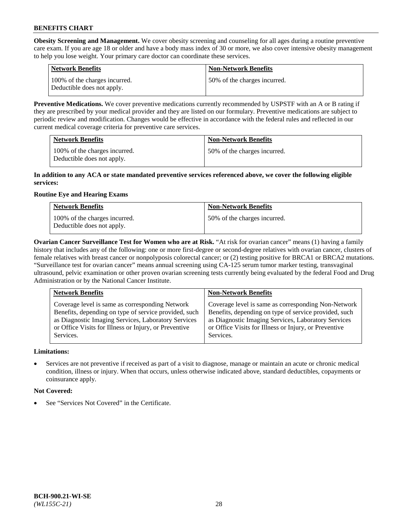**Obesity Screening and Management.** We cover obesity screening and counseling for all ages during a routine preventive care exam. If you are age 18 or older and have a body mass index of 30 or more, we also cover intensive obesity management to help you lose weight. Your primary care doctor can coordinate these services.

| <b>Network Benefits</b>                                     | <b>Non-Network Benefits</b>  |
|-------------------------------------------------------------|------------------------------|
| 100% of the charges incurred.<br>Deductible does not apply. | 50% of the charges incurred. |

**Preventive Medications.** We cover preventive medications currently recommended by USPSTF with an A or B rating if they are prescribed by your medical provider and they are listed on our formulary. Preventive medications are subject to periodic review and modification. Changes would be effective in accordance with the federal rules and reflected in our current medical coverage criteria for preventive care services.

| <b>Network Benefits</b>                                     | <b>Non-Network Benefits</b>  |
|-------------------------------------------------------------|------------------------------|
| 100% of the charges incurred.<br>Deductible does not apply. | 50% of the charges incurred. |

#### **In addition to any ACA or state mandated preventive services referenced above, we cover the following eligible services:**

## **Routine Eye and Hearing Exams**

| <b>Network Benefits</b>                                     | <b>Non-Network Benefits</b>  |
|-------------------------------------------------------------|------------------------------|
| 100% of the charges incurred.<br>Deductible does not apply. | 50% of the charges incurred. |

**Ovarian Cancer Surveillance Test for Women who are at Risk.** "At risk for ovarian cancer" means (1) having a family history that includes any of the following: one or more first-degree or second-degree relatives with ovarian cancer, clusters of female relatives with breast cancer or nonpolyposis colorectal cancer; or (2) testing positive for BRCA1 or BRCA2 mutations. "Surveillance test for ovarian cancer" means annual screening using CA-125 serum tumor marker testing, transvaginal ultrasound, pelvic examination or other proven ovarian screening tests currently being evaluated by the federal Food and Drug Administration or by the National Cancer Institute.

| <b>Network Benefits</b>                               | <b>Non-Network Benefits</b>                           |
|-------------------------------------------------------|-------------------------------------------------------|
| Coverage level is same as corresponding Network       | Coverage level is same as corresponding Non-Network   |
| Benefits, depending on type of service provided, such | Benefits, depending on type of service provided, such |
| as Diagnostic Imaging Services, Laboratory Services   | as Diagnostic Imaging Services, Laboratory Services   |
| or Office Visits for Illness or Injury, or Preventive | or Office Visits for Illness or Injury, or Preventive |
| Services.                                             | Services.                                             |

## **Limitations:**

• Services are not preventive if received as part of a visit to diagnose, manage or maintain an acute or chronic medical condition, illness or injury. When that occurs, unless otherwise indicated above, standard deductibles, copayments or coinsurance apply.

## **Not Covered:**

See "Services Not Covered" in the Certificate.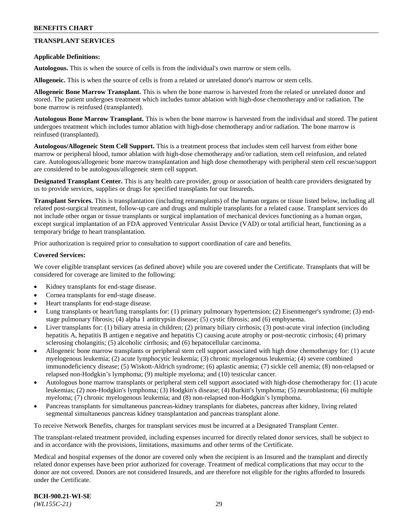## **TRANSPLANT SERVICES**

#### **Applicable Definitions:**

**Autologous.** This is when the source of cells is from the individual's own marrow or stem cells.

**Allogeneic.** This is when the source of cells is from a related or unrelated donor's marrow or stem cells.

**Allogeneic Bone Marrow Transplant.** This is when the bone marrow is harvested from the related or unrelated donor and stored. The patient undergoes treatment which includes tumor ablation with high-dose chemotherapy and/or radiation. The bone marrow is reinfused (transplanted).

**Autologous Bone Marrow Transplant.** This is when the bone marrow is harvested from the individual and stored. The patient undergoes treatment which includes tumor ablation with high-dose chemotherapy and/or radiation. The bone marrow is reinfused (transplanted).

**Autologous/Allogeneic Stem Cell Support.** This is a treatment process that includes stem cell harvest from either bone marrow or peripheral blood, tumor ablation with high-dose chemotherapy and/or radiation, stem cell reinfusion, and related care. Autologous/allogeneic bone marrow transplantation and high dose chemotherapy with peripheral stem cell rescue/support are considered to be autologous/allogeneic stem cell support.

**Designated Transplant Center.** This is any health care provider, group or association of health care providers designated by us to provide services, supplies or drugs for specified transplants for our Insureds.

**Transplant Services.** This is transplantation (including retransplants) of the human organs or tissue listed below, including all related post-surgical treatment, follow-up care and drugs and multiple transplants for a related cause. Transplant services do not include other organ or tissue transplants or surgical implantation of mechanical devices functioning as a human organ, except surgical implantation of an FDA approved Ventricular Assist Device (VAD) or total artificial heart, functioning as a temporary bridge to heart transplantation.

Prior authorization is required prior to consultation to support coordination of care and benefits.

#### **Covered Services:**

We cover eligible transplant services (as defined above) while you are covered under the Certificate. Transplants that will be considered for coverage are limited to the following:

- Kidney transplants for end-stage disease.
- Cornea transplants for end-stage disease.
- Heart transplants for end-stage disease.
- Lung transplants or heart/lung transplants for: (1) primary pulmonary hypertension; (2) Eisenmenger's syndrome; (3) endstage pulmonary fibrosis; (4) alpha 1 antitrypsin disease; (5) cystic fibrosis; and (6) emphysema.
- Liver transplants for: (1) biliary atresia in children; (2) primary biliary cirrhosis; (3) post-acute viral infection (including hepatitis A, hepatitis B antigen e negative and hepatitis C) causing acute atrophy or post-necrotic cirrhosis; (4) primary sclerosing cholangitis; (5) alcoholic cirrhosis; and (6) hepatocellular carcinoma.
- Allogeneic bone marrow transplants or peripheral stem cell support associated with high dose chemotherapy for: (1) acute myelogenous leukemia; (2) acute lymphocytic leukemia; (3) chronic myelogenous leukemia; (4) severe combined immunodeficiency disease; (5) Wiskott-Aldrich syndrome; (6) aplastic anemia; (7) sickle cell anemia; (8) non-relapsed or relapsed non-Hodgkin's lymphoma; (9) multiple myeloma; and (10) testicular cancer.
- Autologous bone marrow transplants or peripheral stem cell support associated with high-dose chemotherapy for: (1) acute leukemias; (2) non-Hodgkin's lymphoma; (3) Hodgkin's disease; (4) Burkitt's lymphoma; (5) neuroblastoma; (6) multiple myeloma; (7) chronic myelogenous leukemia; and (8) non-relapsed non-Hodgkin's lymphoma.
- Pancreas transplants for simultaneous pancreas-kidney transplants for diabetes, pancreas after kidney, living related segmental simultaneous pancreas kidney transplantation and pancreas transplant alone.

To receive Network Benefits, charges for transplant services must be incurred at a Designated Transplant Center.

The transplant-related treatment provided, including expenses incurred for directly related donor services, shall be subject to and in accordance with the provisions, limitations, maximums and other terms of the Certificate.

Medical and hospital expenses of the donor are covered only when the recipient is an Insured and the transplant and directly related donor expenses have been prior authorized for coverage. Treatment of medical complications that may occur to the donor are not covered. Donors are not considered Insureds, and are therefore not eligible for the rights afforded to Insureds under the Certificate.